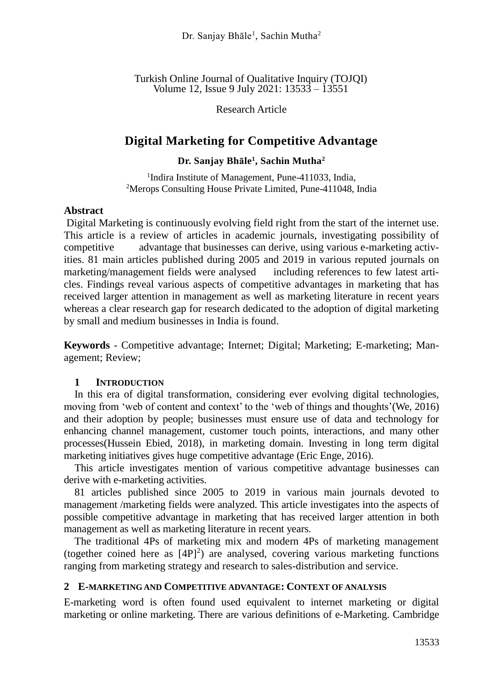Turkish Online Journal of Qualitative Inquiry (TOJQI) Volume 12, Issue 9 July 2021: 13533 – 13551

Research Article

# **Digital Marketing for Competitive Advantage**

## **Dr. Sanjay Bhāle<sup>1</sup> , Sachin Mutha<sup>2</sup>**

<sup>1</sup>Indira Institute of Management, Pune-411033, India, <sup>2</sup>Merops Consulting House Private Limited, Pune-411048, India

## **Abstract**

Digital Marketing is continuously evolving field right from the start of the internet use. This article is a review of articles in academic journals, investigating possibility of competitive advantage that businesses can derive, using various e-marketing activities. 81 main articles published during 2005 and 2019 in various reputed journals on marketing/management fields were analysed including references to few latest articles. Findings reveal various aspects of competitive advantages in marketing that has received larger attention in management as well as marketing literature in recent years whereas a clear research gap for research dedicated to the adoption of digital marketing by small and medium businesses in India is found.

**Keywords** - Competitive advantage; Internet; Digital; Marketing; E-marketing; Management; Review;

## **1 INTRODUCTION**

In this era of digital transformation, considering ever evolving digital technologies, moving from 'web of content and context' to the 'web of things and thoughts'(We, 2016) and their adoption by people; businesses must ensure use of data and technology for enhancing channel management, customer touch points, interactions, and many other processes(Hussein Ebied, 2018), in marketing domain. Investing in long term digital marketing initiatives gives huge competitive advantage (Eric Enge, 2016).

This article investigates mention of various competitive advantage businesses can derive with e-marketing activities.

81 articles published since 2005 to 2019 in various main journals devoted to management /marketing fields were analyzed. This article investigates into the aspects of possible competitive advantage in marketing that has received larger attention in both management as well as marketing literature in recent years.

The traditional 4Ps of marketing mix and modern 4Ps of marketing management (together coined here as  $[4P]^2$ ) are analysed, covering various marketing functions ranging from marketing strategy and research to sales-distribution and service.

## **2 E-MARKETING AND COMPETITIVE ADVANTAGE: CONTEXT OF ANALYSIS**

E-marketing word is often found used equivalent to internet marketing or digital marketing or online marketing. There are various definitions of e-Marketing. Cambridge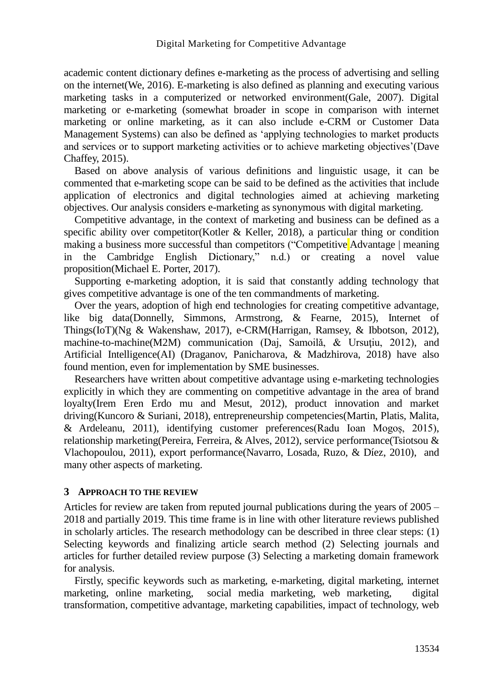academic content dictionary defines e-marketing as the process of advertising and selling on the internet(We, 2016). E-marketing is also defined as planning and executing various marketing tasks in a computerized or networked environment(Gale, 2007). Digital marketing or e-marketing (somewhat broader in scope in comparison with internet marketing or online marketing, as it can also include e-CRM or Customer Data Management Systems) can also be defined as 'applying technologies to market products and services or to support marketing activities or to achieve marketing objectives'(Dave Chaffey, 2015).

Based on above analysis of various definitions and linguistic usage, it can be commented that e-marketing scope can be said to be defined as the activities that include application of electronics and digital technologies aimed at achieving marketing objectives. Our analysis considers e-marketing as synonymous with digital marketing.

Competitive advantage, in the context of marketing and business can be defined as a specific ability over competitor(Kotler & Keller, 2018), a particular thing or condition making a business more successful than competitors ("Competitive Advantage | meaning in the Cambridge English Dictionary," n.d.) or creating a novel value proposition(Michael E. Porter, 2017).

Supporting e-marketing adoption, it is said that constantly adding technology that gives competitive advantage is one of the ten commandments of marketing.

Over the years, adoption of high end technologies for creating competitive advantage, like big data(Donnelly, Simmons, Armstrong, & Fearne, 2015), Internet of Things(IoT)(Ng & Wakenshaw, 2017), e-CRM(Harrigan, Ramsey, & Ibbotson, 2012), machine-to-machine(M2M) communication (Daj, Samoilă, & Ursuțiu, 2012), and Artificial Intelligence(AI) (Draganov, Panicharova, & Madzhirova, 2018) have also found mention, even for implementation by SME businesses.

Researchers have written about competitive advantage using e-marketing technologies explicitly in which they are commenting on competitive advantage in the area of brand loyalty(Irem Eren Erdo mu and Mesut, 2012), product innovation and market driving(Kuncoro & Suriani, 2018), entrepreneurship competencies(Martin, Platis, Malita, & Ardeleanu, 2011), identifying customer preferences(Radu Ioan Mogoș, 2015), relationship marketing(Pereira, Ferreira, & Alves, 2012), service performance(Tsiotsou & Vlachopoulou, 2011), export performance(Navarro, Losada, Ruzo, & Díez, 2010), and many other aspects of marketing.

## **3 APPROACH TO THE REVIEW**

Articles for review are taken from reputed journal publications during the years of 2005 – 2018 and partially 2019. This time frame is in line with other literature reviews published in scholarly articles. The research methodology can be described in three clear steps: (1) Selecting keywords and finalizing article search method (2) Selecting journals and articles for further detailed review purpose (3) Selecting a marketing domain framework for analysis.

Firstly, specific keywords such as marketing, e-marketing, digital marketing, internet marketing, online marketing, social media marketing, web marketing, digital transformation, competitive advantage, marketing capabilities, impact of technology, web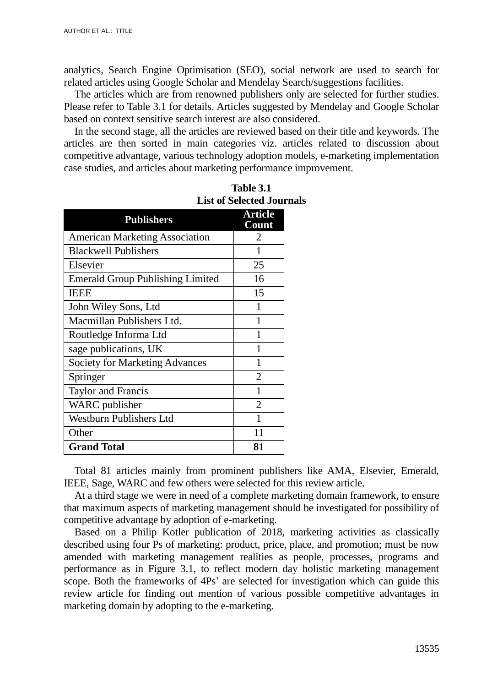analytics, Search Engine Optimisation (SEO), social network are used to search for related articles using Google Scholar and Mendelay Search/suggestions facilities.

The articles which are from renowned publishers only are selected for further studies. Please refer to Table 3.1 for details. Articles suggested by Mendelay and Google Scholar based on context sensitive search interest are also considered.

In the second stage, all the articles are reviewed based on their title and keywords. The articles are then sorted in main categories viz. articles related to discussion about competitive advantage, various technology adoption models, e-marketing implementation case studies, and articles about marketing performance improvement.

| <b>Publishers</b>                       | <b>Article</b><br>Count |
|-----------------------------------------|-------------------------|
| <b>American Marketing Association</b>   | $\mathcal{D}_{\cdot}$   |
| <b>Blackwell Publishers</b>             | 1                       |
| Elsevier                                | 25                      |
| <b>Emerald Group Publishing Limited</b> | 16                      |
| <b>IEEE</b>                             | 15                      |
| John Wiley Sons, Ltd                    | 1                       |
| Macmillan Publishers Ltd.               | 1                       |
| Routledge Informa Ltd                   |                         |
| sage publications, UK                   | 1                       |
| Society for Marketing Advances          | 1                       |
| Springer                                | $\overline{2}$          |
| <b>Taylor and Francis</b>               | 1                       |
| <b>WARC</b> publisher                   | $\mathfrak{D}$          |
| <b>Westburn Publishers Ltd</b>          | 1                       |
| Other                                   | 11                      |
| <b>Grand Total</b>                      | 81                      |

**Table 3.1 List of Selected Journals**

Total 81 articles mainly from prominent publishers like AMA, Elsevier, Emerald, IEEE, Sage, WARC and few others were selected for this review article.

At a third stage we were in need of a complete marketing domain framework, to ensure that maximum aspects of marketing management should be investigated for possibility of competitive advantage by adoption of e-marketing.

Based on a Philip Kotler publication of 2018, marketing activities as classically described using four Ps of marketing: product, price, place, and promotion; must be now amended with marketing management realities as people, processes, programs and performance as in Figure 3.1, to reflect modern day holistic marketing management scope. Both the frameworks of 4Ps' are selected for investigation which can guide this review article for finding out mention of various possible competitive advantages in marketing domain by adopting to the e-marketing.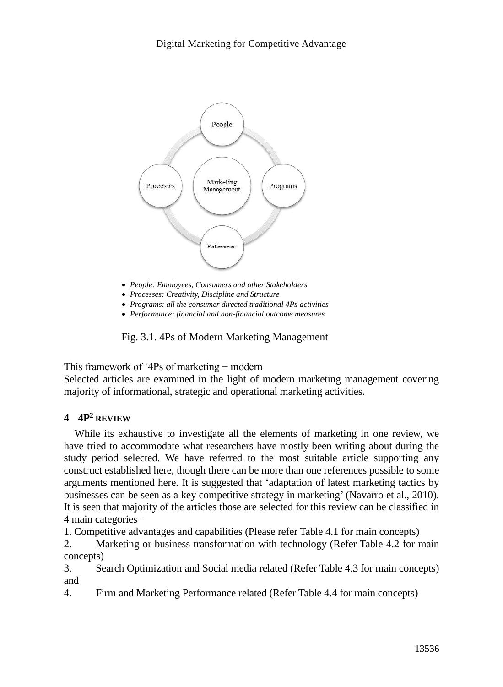

- *Processes: Creativity, Discipline and Structure*
- *Programs: all the consumer directed traditional 4Ps activities*
- *Performance: financial and non-financial outcome measures*

Fig. 3.1. 4Ps of Modern Marketing Management

This framework of '4Ps of marketing  $+$  modern

Selected articles are examined in the light of modern marketing management covering majority of informational, strategic and operational marketing activities.

## **4 4P<sup>2</sup> REVIEW**

While its exhaustive to investigate all the elements of marketing in one review, we have tried to accommodate what researchers have mostly been writing about during the study period selected. We have referred to the most suitable article supporting any construct established here, though there can be more than one references possible to some arguments mentioned here. It is suggested that 'adaptation of latest marketing tactics by businesses can be seen as a key competitive strategy in marketing' (Navarro et al., 2010). It is seen that majority of the articles those are selected for this review can be classified in 4 main categories –

1. Competitive advantages and capabilities (Please refer Table 4.1 for main concepts)

2. Marketing or business transformation with technology (Refer Table 4.2 for main concepts)

3. Search Optimization and Social media related (Refer Table 4.3 for main concepts) and

4. Firm and Marketing Performance related (Refer Table 4.4 for main concepts)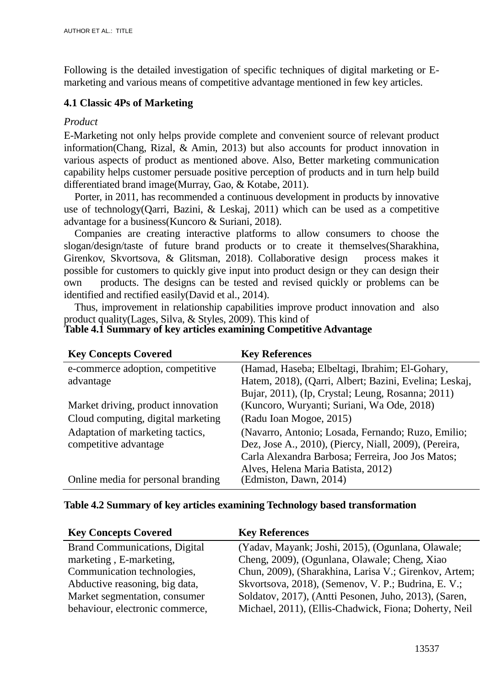Following is the detailed investigation of specific techniques of digital marketing or Emarketing and various means of competitive advantage mentioned in few key articles.

## **4.1 Classic 4Ps of Marketing**

## *Product*

E-Marketing not only helps provide complete and convenient source of relevant product information(Chang, Rizal, & Amin, 2013) but also accounts for product innovation in various aspects of product as mentioned above. Also, Better marketing communication capability helps customer persuade positive perception of products and in turn help build differentiated brand image(Murray, Gao, & Kotabe, 2011).

Porter, in 2011, has recommended a continuous development in products by innovative use of technology(Qarri, Bazini, & Leskaj, 2011) which can be used as a competitive advantage for a business(Kuncoro & Suriani, 2018).

Companies are creating interactive platforms to allow consumers to choose the slogan/design/taste of future brand products or to create it themselves(Sharakhina, Girenkov, Skvortsova, & Glitsman, 2018). Collaborative design process makes it possible for customers to quickly give input into product design or they can design their own products. The designs can be tested and revised quickly or problems can be identified and rectified easily(David et al., 2014).

Thus, improvement in relationship capabilities improve product innovation and also product quality(Lages, Silva, & Styles, 2009). This kind of **Table 4.1 Summary of key articles examining Competitive Advantage**

| <b>Key Concepts Covered</b>        | <b>Key References</b>                                        |
|------------------------------------|--------------------------------------------------------------|
| e-commerce adoption, competitive   | (Hamad, Haseba; Elbeltagi, Ibrahim; El-Gohary,               |
| advantage                          | Hatem, 2018), (Qarri, Albert; Bazini, Evelina; Leskaj,       |
|                                    | Bujar, 2011), (Ip, Crystal; Leung, Rosanna; 2011)            |
| Market driving, product innovation | (Kuncoro, Wuryanti; Suriani, Wa Ode, 2018)                   |
| Cloud computing, digital marketing | (Radu Ioan Mogoe, 2015)                                      |
| Adaptation of marketing tactics,   | (Navarro, Antonio; Losada, Fernando; Ruzo, Emilio;           |
| competitive advantage              | Dez, Jose A., 2010), (Piercy, Niall, 2009), (Pereira,        |
|                                    | Carla Alexandra Barbosa; Ferreira, Joo Jos Matos;            |
| Online media for personal branding | Alves, Helena Maria Batista, 2012)<br>(Edmiston, Dawn, 2014) |
|                                    |                                                              |

## **Table 4.2 Summary of key articles examining Technology based transformation**

| <b>Key Concepts Covered</b>          | <b>Key References</b>                                 |
|--------------------------------------|-------------------------------------------------------|
| <b>Brand Communications, Digital</b> | (Yadav, Mayank; Joshi, 2015), (Ogunlana, Olawale;     |
| marketing, E-marketing,              | Cheng, 2009), (Ogunlana, Olawale; Cheng, Xiao         |
| Communication technologies,          | Chun, 2009), (Sharakhina, Larisa V.; Girenkov, Artem; |
| Abductive reasoning, big data,       | Skvortsova, 2018), (Semenov, V. P.; Budrina, E. V.;   |
| Market segmentation, consumer        | Soldatov, 2017), (Antti Pesonen, Juho, 2013), (Saren, |
| behaviour, electronic commerce,      | Michael, 2011), (Ellis-Chadwick, Fiona; Doherty, Neil |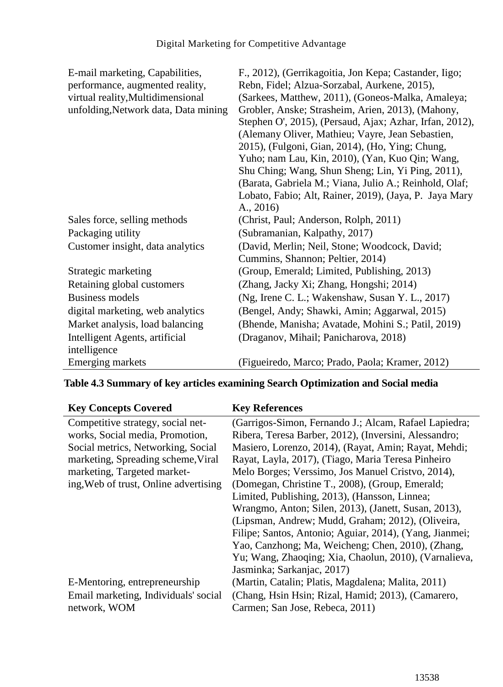| E-mail marketing, Capabilities,      | F., 2012), (Gerrikagoitia, Jon Kepa; Castander, Iigo;   |
|--------------------------------------|---------------------------------------------------------|
| performance, augmented reality,      | Rebn, Fidel; Alzua-Sorzabal, Aurkene, 2015),            |
| virtual reality, Multidimensional    | (Sarkees, Matthew, 2011), (Goneos-Malka, Amaleya;       |
| unfolding, Network data, Data mining | Grobler, Anske; Strasheim, Arien, 2013), (Mahony,       |
|                                      | Stephen O', 2015), (Persaud, Ajax; Azhar, Irfan, 2012), |
|                                      | (Alemany Oliver, Mathieu; Vayre, Jean Sebastien,        |
|                                      | 2015), (Fulgoni, Gian, 2014), (Ho, Ying; Chung,         |
|                                      | Yuho; nam Lau, Kin, 2010), (Yan, Kuo Qin; Wang,         |
|                                      | Shu Ching; Wang, Shun Sheng; Lin, Yi Ping, 2011),       |
|                                      | (Barata, Gabriela M.; Viana, Julio A.; Reinhold, Olaf;  |
|                                      | Lobato, Fabio; Alt, Rainer, 2019), (Jaya, P. Jaya Mary  |
|                                      | A., 2016                                                |
| Sales force, selling methods         | (Christ, Paul; Anderson, Rolph, 2011)                   |
| Packaging utility                    | (Subramanian, Kalpathy, 2017)                           |
| Customer insight, data analytics     | (David, Merlin; Neil, Stone; Woodcock, David;           |
|                                      | Cummins, Shannon; Peltier, 2014)                        |
| Strategic marketing                  | (Group, Emerald; Limited, Publishing, 2013)             |
| Retaining global customers           | (Zhang, Jacky Xi; Zhang, Hongshi; 2014)                 |
| <b>Business models</b>               | (Ng, Irene C. L.; Wakenshaw, Susan Y. L., 2017)         |
| digital marketing, web analytics     | (Bengel, Andy; Shawki, Amin; Aggarwal, 2015)            |
| Market analysis, load balancing      | (Bhende, Manisha; Avatade, Mohini S.; Patil, 2019)      |
| Intelligent Agents, artificial       | (Draganov, Mihail; Panicharova, 2018)                   |
| intelligence                         |                                                         |
| Emerging markets                     | (Figueiredo, Marco; Prado, Paola; Kramer, 2012)         |

# **Table 4.3 Summary of key articles examining Search Optimization and Social media**

| <b>Key Concepts Covered</b>           | <b>Key References</b>                                   |
|---------------------------------------|---------------------------------------------------------|
| Competitive strategy, social net-     | (Garrigos-Simon, Fernando J.; Alcam, Rafael Lapiedra;   |
| works, Social media, Promotion,       | Ribera, Teresa Barber, 2012), (Inversini, Alessandro;   |
| Social metrics, Networking, Social    | Masiero, Lorenzo, 2014), (Rayat, Amin; Rayat, Mehdi;    |
| marketing, Spreading scheme, Viral    | Rayat, Layla, 2017), (Tiago, Maria Teresa Pinheiro      |
| marketing, Targeted market-           | Melo Borges; Verssimo, Jos Manuel Cristvo, 2014),       |
| ing, Web of trust, Online advertising | (Domegan, Christine T., 2008), (Group, Emerald;         |
|                                       | Limited, Publishing, 2013), (Hansson, Linnea;           |
|                                       | Wrangmo, Anton; Silen, 2013), (Janett, Susan, 2013),    |
|                                       | (Lipsman, Andrew; Mudd, Graham; 2012), (Oliveira,       |
|                                       | Filipe; Santos, Antonio; Aguiar, 2014), (Yang, Jianmei; |
|                                       | Yao, Canzhong; Ma, Weicheng; Chen, 2010), (Zhang,       |
|                                       | Yu; Wang, Zhaoqing; Xia, Chaolun, 2010), (Varnalieva,   |
|                                       | Jasminka; Sarkanjac, 2017)                              |
| E-Mentoring, entrepreneurship         | (Martin, Catalin; Platis, Magdalena; Malita, 2011)      |
| Email marketing, Individuals' social  | (Chang, Hsin Hsin; Rizal, Hamid; 2013), (Camarero,      |
| network, WOM                          | Carmen; San Jose, Rebeca, 2011)                         |
|                                       |                                                         |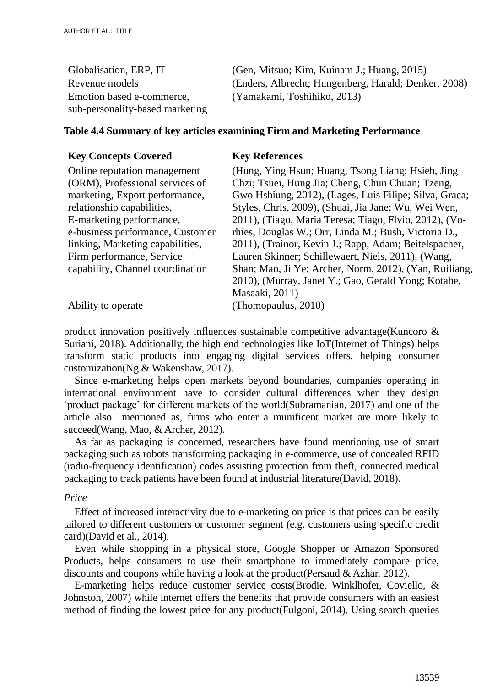| Globalisation, ERP, IT          | (Gen, Mitsuo; Kim, Kuinam J.; Huang, 2015)           |
|---------------------------------|------------------------------------------------------|
| Revenue models                  | (Enders, Albrecht; Hungenberg, Harald; Denker, 2008) |
| Emotion based e-commerce,       | (Yamakami, Toshihiko, 2013)                          |
| sub-personality-based marketing |                                                      |

#### **Table 4.4 Summary of key articles examining Firm and Marketing Performance**

| <b>Key Concepts Covered</b>      | <b>Key References</b>                                  |
|----------------------------------|--------------------------------------------------------|
| Online reputation management     | (Hung, Ying Hsun; Huang, Tsong Liang; Hsieh, Jing      |
| (ORM), Professional services of  | Chzi; Tsuei, Hung Jia; Cheng, Chun Chuan; Tzeng,       |
| marketing, Export performance,   | Gwo Hshiung, 2012), (Lages, Luis Filipe; Silva, Graca; |
| relationship capabilities,       | Styles, Chris, 2009), (Shuai, Jia Jane; Wu, Wei Wen,   |
| E-marketing performance,         | 2011), (Tiago, Maria Teresa; Tiago, Flvio, 2012), (Vo- |
| e-business performance, Customer | rhies, Douglas W.; Orr, Linda M.; Bush, Victoria D.,   |
| linking, Marketing capabilities, | 2011), (Trainor, Kevin J.; Rapp, Adam; Beitelspacher,  |
| Firm performance, Service        | Lauren Skinner; Schillewaert, Niels, 2011), (Wang,     |
| capability, Channel coordination | Shan; Mao, Ji Ye; Archer, Norm, 2012), (Yan, Ruiliang, |
|                                  | 2010), (Murray, Janet Y.; Gao, Gerald Yong; Kotabe,    |
|                                  | Masaaki, 2011)                                         |
| Ability to operate               | (Thomopaulus, 2010)                                    |

product innovation positively influences sustainable competitive advantage(Kuncoro  $\&$ Suriani, 2018). Additionally, the high end technologies like IoT(Internet of Things) helps transform static products into engaging digital services offers, helping consumer customization(Ng & Wakenshaw, 2017).

Since e-marketing helps open markets beyond boundaries, companies operating in international environment have to consider cultural differences when they design 'product package' for different markets of the world(Subramanian, 2017) and one of the article also mentioned as, firms who enter a munificent market are more likely to succeed(Wang, Mao, & Archer, 2012).

As far as packaging is concerned, researchers have found mentioning use of smart packaging such as robots transforming packaging in e-commerce, use of concealed RFID (radio-frequency identification) codes assisting protection from theft, connected medical packaging to track patients have been found at industrial literature(David, 2018).

#### *Price*

Effect of increased interactivity due to e-marketing on price is that prices can be easily tailored to different customers or customer segment (e.g. customers using specific credit card)(David et al., 2014).

Even while shopping in a physical store, Google Shopper or Amazon Sponsored Products, helps consumers to use their smartphone to immediately compare price, discounts and coupons while having a look at the product(Persaud & Azhar, 2012).

E-marketing helps reduce customer service costs(Brodie, Winklhofer, Coviello, & Johnston, 2007) while internet offers the benefits that provide consumers with an easiest method of finding the lowest price for any product(Fulgoni, 2014). Using search queries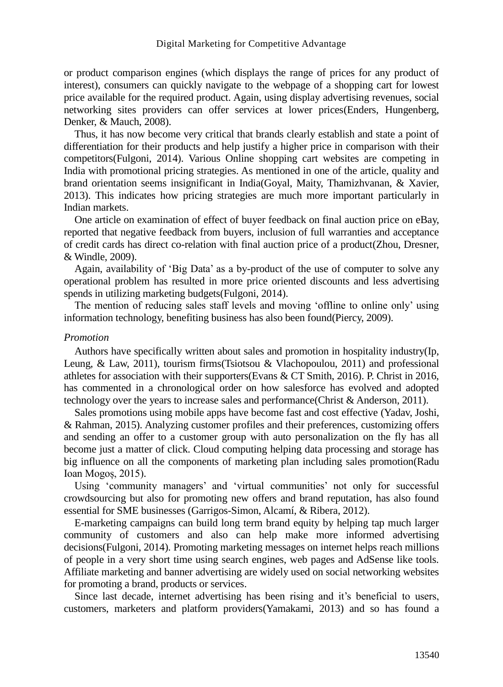or product comparison engines (which displays the range of prices for any product of interest), consumers can quickly navigate to the webpage of a shopping cart for lowest price available for the required product. Again, using display advertising revenues, social networking sites providers can offer services at lower prices(Enders, Hungenberg, Denker, & Mauch, 2008).

Thus, it has now become very critical that brands clearly establish and state a point of differentiation for their products and help justify a higher price in comparison with their competitors(Fulgoni, 2014). Various Online shopping cart websites are competing in India with promotional pricing strategies. As mentioned in one of the article, quality and brand orientation seems insignificant in India(Goyal, Maity, Thamizhvanan, & Xavier, 2013). This indicates how pricing strategies are much more important particularly in Indian markets.

One article on examination of effect of buyer feedback on final auction price on eBay, reported that negative feedback from buyers, inclusion of full warranties and acceptance of credit cards has direct co-relation with final auction price of a product(Zhou, Dresner, & Windle, 2009).

Again, availability of 'Big Data' as a by-product of the use of computer to solve any operational problem has resulted in more price oriented discounts and less advertising spends in utilizing marketing budgets(Fulgoni, 2014).

The mention of reducing sales staff levels and moving 'offline to online only' using information technology, benefiting business has also been found(Piercy, 2009).

#### *Promotion*

Authors have specifically written about sales and promotion in hospitality industry(Ip, Leung, & Law, 2011), tourism firms(Tsiotsou & Vlachopoulou, 2011) and professional athletes for association with their supporters (Evans  $\&$  CT Smith, 2016). P. Christ in 2016, has commented in a chronological order on how salesforce has evolved and adopted technology over the years to increase sales and performance(Christ & Anderson, 2011).

Sales promotions using mobile apps have become fast and cost effective (Yadav, Joshi, & Rahman, 2015). Analyzing customer profiles and their preferences, customizing offers and sending an offer to a customer group with auto personalization on the fly has all become just a matter of click. Cloud computing helping data processing and storage has big influence on all the components of marketing plan including sales promotion(Radu Ioan Mogoș, 2015).

Using 'community managers' and 'virtual communities' not only for successful crowdsourcing but also for promoting new offers and brand reputation, has also found essential for SME businesses (Garrigos-Simon, Alcamí, & Ribera, 2012).

E-marketing campaigns can build long term brand equity by helping tap much larger community of customers and also can help make more informed advertising decisions(Fulgoni, 2014). Promoting marketing messages on internet helps reach millions of people in a very short time using search engines, web pages and AdSense like tools. Affiliate marketing and banner advertising are widely used on social networking websites for promoting a brand, products or services.

Since last decade, internet advertising has been rising and it's beneficial to users, customers, marketers and platform providers(Yamakami, 2013) and so has found a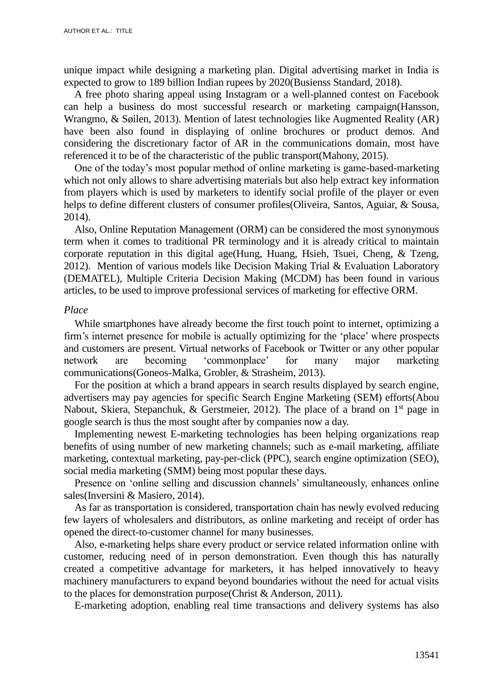unique impact while designing a marketing plan. Digital advertising market in India is expected to grow to 189 billion Indian rupees by 2020(Busienss Standard, 2018).

A free photo sharing appeal using Instagram or a well-planned contest on Facebook can help a business do most successful research or marketing campaign(Hansson, Wrangmo, & Søilen, 2013). Mention of latest technologies like Augmented Reality (AR) have been also found in displaying of online brochures or product demos. And considering the discretionary factor of AR in the communications domain, most have referenced it to be of the characteristic of the public transport(Mahony, 2015).

One of the today's most popular method of online marketing is game-based-marketing which not only allows to share advertising materials but also help extract key information from players which is used by marketers to identify social profile of the player or even helps to define different clusters of consumer profiles(Oliveira, Santos, Aguiar, & Sousa, 2014).

Also, Online Reputation Management (ORM) can be considered the most synonymous term when it comes to traditional PR terminology and it is already critical to maintain corporate reputation in this digital age(Hung, Huang, Hsieh, Tsuei, Cheng, & Tzeng, 2012). Mention of various models like Decision Making Trial & Evaluation Laboratory (DEMATEL), Multiple Criteria Decision Making (MCDM) has been found in various articles, to be used to improve professional services of marketing for effective ORM.

#### *Place*

While smartphones have already become the first touch point to internet, optimizing a firm's internet presence for mobile is actually optimizing for the 'place' where prospects and customers are present. Virtual networks of Facebook or Twitter or any other popular network are becoming 'commonplace' for many major marketing communications(Goneos-Malka, Grobler, & Strasheim, 2013).

For the position at which a brand appears in search results displayed by search engine, advertisers may pay agencies for specific Search Engine Marketing (SEM) efforts(Abou Nabout, Skiera, Stepanchuk, & Gerstmeier, 2012). The place of a brand on  $1<sup>st</sup>$  page in google search is thus the most sought after by companies now a day.

Implementing newest E-marketing technologies has been helping organizations reap benefits of using number of new marketing channels; such as e-mail marketing, affiliate marketing, contextual marketing, pay-per-click (PPC), search engine optimization (SEO), social media marketing (SMM) being most popular these days.

Presence on 'online selling and discussion channels' simultaneously, enhances online sales(Inversini & Masiero, 2014).

As far as transportation is considered, transportation chain has newly evolved reducing few layers of wholesalers and distributors, as online marketing and receipt of order has opened the direct-to-customer channel for many businesses.

Also, e-marketing helps share every product or service related information online with customer, reducing need of in person demonstration. Even though this has naturally created a competitive advantage for marketers, it has helped innovatively to heavy machinery manufacturers to expand beyond boundaries without the need for actual visits to the places for demonstration purpose(Christ & Anderson, 2011).

E-marketing adoption, enabling real time transactions and delivery systems has also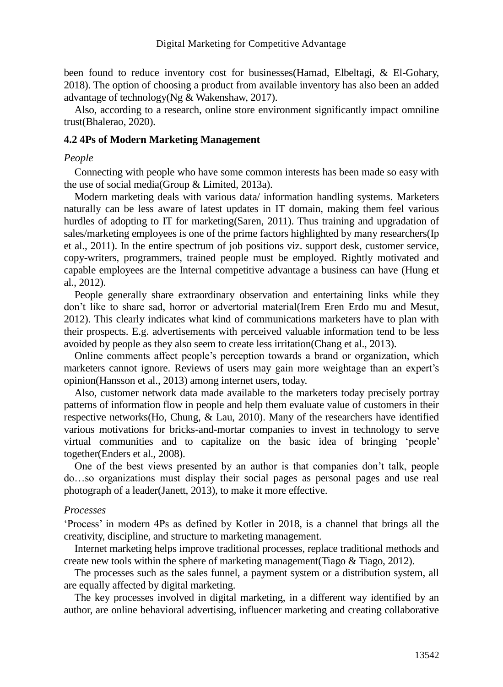been found to reduce inventory cost for businesses(Hamad, Elbeltagi, & El-Gohary, 2018). The option of choosing a product from available inventory has also been an added advantage of technology(Ng & Wakenshaw, 2017).

Also, according to a research, online store environment significantly impact omniline trust(Bhalerao, 2020).

#### **4.2 4Ps of Modern Marketing Management**

#### *People*

Connecting with people who have some common interests has been made so easy with the use of social media(Group & Limited, 2013a).

Modern marketing deals with various data/ information handling systems. Marketers naturally can be less aware of latest updates in IT domain, making them feel various hurdles of adopting to IT for marketing(Saren, 2011). Thus training and upgradation of sales/marketing employees is one of the prime factors highlighted by many researchers(Ip et al., 2011). In the entire spectrum of job positions viz. support desk, customer service, copy-writers, programmers, trained people must be employed. Rightly motivated and capable employees are the Internal competitive advantage a business can have (Hung et al., 2012).

People generally share extraordinary observation and entertaining links while they don't like to share sad, horror or advertorial material(Irem Eren Erdo mu and Mesut, 2012). This clearly indicates what kind of communications marketers have to plan with their prospects. E.g. advertisements with perceived valuable information tend to be less avoided by people as they also seem to create less irritation(Chang et al., 2013).

Online comments affect people's perception towards a brand or organization, which marketers cannot ignore. Reviews of users may gain more weightage than an expert's opinion(Hansson et al., 2013) among internet users, today.

Also, customer network data made available to the marketers today precisely portray patterns of information flow in people and help them evaluate value of customers in their respective networks(Ho, Chung, & Lau, 2010). Many of the researchers have identified various motivations for bricks-and-mortar companies to invest in technology to serve virtual communities and to capitalize on the basic idea of bringing 'people' together(Enders et al., 2008).

One of the best views presented by an author is that companies don't talk, people do…so organizations must display their social pages as personal pages and use real photograph of a leader(Janett, 2013), to make it more effective.

#### *Processes*

'Process' in modern 4Ps as defined by Kotler in 2018, is a channel that brings all the creativity, discipline, and structure to marketing management.

Internet marketing helps improve traditional processes, replace traditional methods and create new tools within the sphere of marketing management (Tiago  $\&$  Tiago, 2012).

The processes such as the sales funnel, a payment system or a distribution system, all are equally affected by digital marketing.

The key processes involved in digital marketing, in a different way identified by an author, are online behavioral advertising, influencer marketing and creating collaborative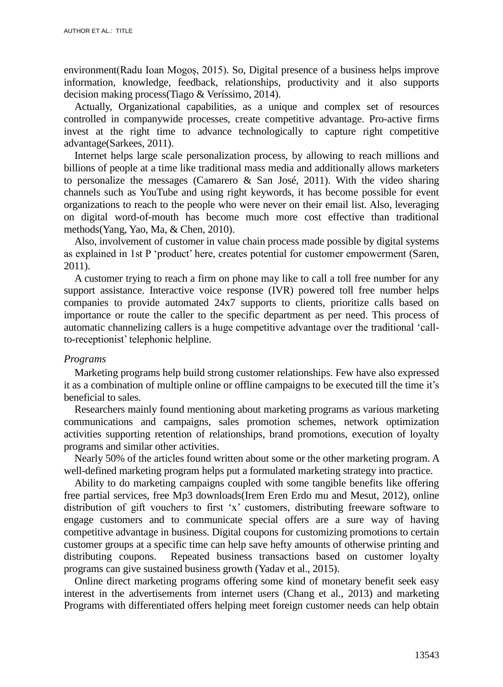environment(Radu Ioan Mogoș, 2015). So, Digital presence of a business helps improve information, knowledge, feedback, relationships, productivity and it also supports decision making process(Tiago & Veríssimo, 2014).

Actually, Organizational capabilities, as a unique and complex set of resources controlled in companywide processes, create competitive advantage. Pro-active firms invest at the right time to advance technologically to capture right competitive advantage(Sarkees, 2011).

Internet helps large scale personalization process, by allowing to reach millions and billions of people at a time like traditional mass media and additionally allows marketers to personalize the messages (Camarero  $\&$  San José, 2011). With the video sharing channels such as YouTube and using right keywords, it has become possible for event organizations to reach to the people who were never on their email list. Also, leveraging on digital word-of-mouth has become much more cost effective than traditional methods(Yang, Yao, Ma, & Chen, 2010).

Also, involvement of customer in value chain process made possible by digital systems as explained in 1st P 'product' here, creates potential for customer empowerment (Saren, 2011).

A customer trying to reach a firm on phone may like to call a toll free number for any support assistance. Interactive voice response (IVR) powered toll free number helps companies to provide automated 24x7 supports to clients, prioritize calls based on importance or route the caller to the specific department as per need. This process of automatic channelizing callers is a huge competitive advantage over the traditional 'callto-receptionist' telephonic helpline.

#### *Programs*

Marketing programs help build strong customer relationships. Few have also expressed it as a combination of multiple online or offline campaigns to be executed till the time it's beneficial to sales.

Researchers mainly found mentioning about marketing programs as various marketing communications and campaigns, sales promotion schemes, network optimization activities supporting retention of relationships, brand promotions, execution of loyalty programs and similar other activities.

Nearly 50% of the articles found written about some or the other marketing program. A well-defined marketing program helps put a formulated marketing strategy into practice.

Ability to do marketing campaigns coupled with some tangible benefits like offering free partial services, free Mp3 downloads(Irem Eren Erdo mu and Mesut, 2012), online distribution of gift vouchers to first 'x' customers, distributing freeware software to engage customers and to communicate special offers are a sure way of having competitive advantage in business. Digital coupons for customizing promotions to certain customer groups at a specific time can help save hefty amounts of otherwise printing and distributing coupons. Repeated business transactions based on customer loyalty programs can give sustained business growth (Yadav et al., 2015).

Online direct marketing programs offering some kind of monetary benefit seek easy interest in the advertisements from internet users (Chang et al., 2013) and marketing Programs with differentiated offers helping meet foreign customer needs can help obtain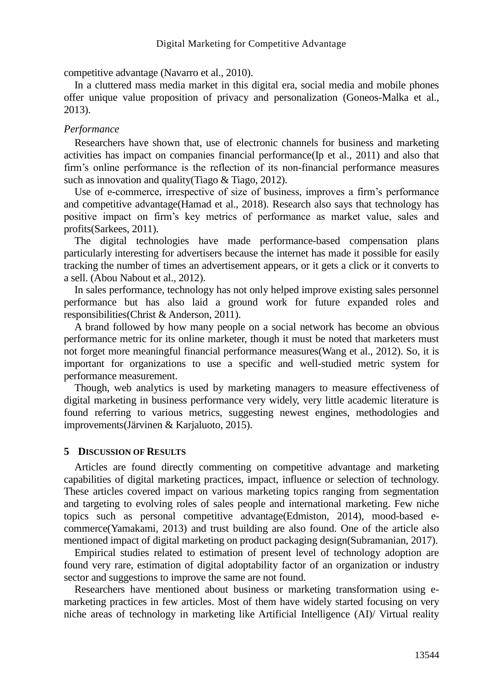competitive advantage (Navarro et al., 2010).

In a cluttered mass media market in this digital era, social media and mobile phones offer unique value proposition of privacy and personalization (Goneos-Malka et al., 2013).

## *Performance*

Researchers have shown that, use of electronic channels for business and marketing activities has impact on companies financial performance(Ip et al., 2011) and also that firm's online performance is the reflection of its non-financial performance measures such as innovation and quality(Tiago & Tiago, 2012).

Use of e-commerce, irrespective of size of business, improves a firm's performance and competitive advantage(Hamad et al., 2018). Research also says that technology has positive impact on firm's key metrics of performance as market value, sales and profits(Sarkees, 2011).

The digital technologies have made performance-based compensation plans particularly interesting for advertisers because the internet has made it possible for easily tracking the number of times an advertisement appears, or it gets a click or it converts to a sell. (Abou Nabout et al., 2012).

In sales performance, technology has not only helped improve existing sales personnel performance but has also laid a ground work for future expanded roles and responsibilities(Christ & Anderson, 2011).

A brand followed by how many people on a social network has become an obvious performance metric for its online marketer, though it must be noted that marketers must not forget more meaningful financial performance measures(Wang et al., 2012). So, it is important for organizations to use a specific and well-studied metric system for performance measurement.

Though, web analytics is used by marketing managers to measure effectiveness of digital marketing in business performance very widely, very little academic literature is found referring to various metrics, suggesting newest engines, methodologies and improvements(Järvinen & Karjaluoto, 2015).

## **5 DISCUSSION OF RESULTS**

Articles are found directly commenting on competitive advantage and marketing capabilities of digital marketing practices, impact, influence or selection of technology. These articles covered impact on various marketing topics ranging from segmentation and targeting to evolving roles of sales people and international marketing. Few niche topics such as personal competitive advantage(Edmiston, 2014), mood-based ecommerce(Yamakami, 2013) and trust building are also found. One of the article also mentioned impact of digital marketing on product packaging design(Subramanian, 2017).

Empirical studies related to estimation of present level of technology adoption are found very rare, estimation of digital adoptability factor of an organization or industry sector and suggestions to improve the same are not found.

Researchers have mentioned about business or marketing transformation using emarketing practices in few articles. Most of them have widely started focusing on very niche areas of technology in marketing like Artificial Intelligence (AI)/ Virtual reality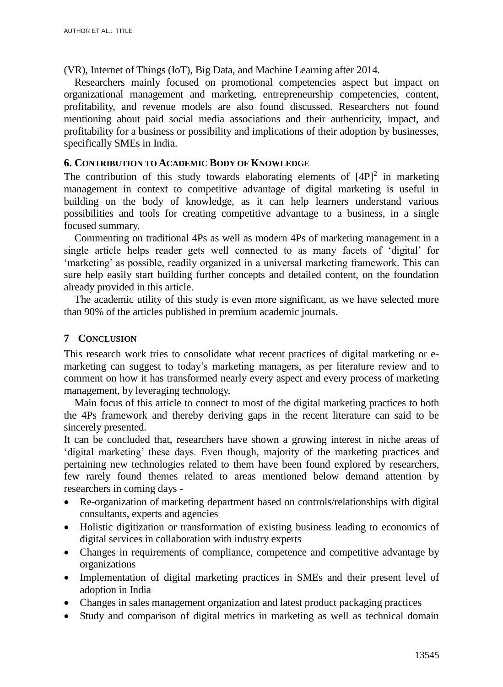(VR), Internet of Things (IoT), Big Data, and Machine Learning after 2014.

Researchers mainly focused on promotional competencies aspect but impact on organizational management and marketing, entrepreneurship competencies, content, profitability, and revenue models are also found discussed. Researchers not found mentioning about paid social media associations and their authenticity, impact, and profitability for a business or possibility and implications of their adoption by businesses, specifically SMEs in India.

#### **6. CONTRIBUTION TO ACADEMIC BODY OF KNOWLEDGE**

The contribution of this study towards elaborating elements of  $[4P]^2$  in marketing management in context to competitive advantage of digital marketing is useful in building on the body of knowledge, as it can help learners understand various possibilities and tools for creating competitive advantage to a business, in a single focused summary.

Commenting on traditional 4Ps as well as modern 4Ps of marketing management in a single article helps reader gets well connected to as many facets of 'digital' for 'marketing' as possible, readily organized in a universal marketing framework. This can sure help easily start building further concepts and detailed content, on the foundation already provided in this article.

The academic utility of this study is even more significant, as we have selected more than 90% of the articles published in premium academic journals.

## **7 CONCLUSION**

This research work tries to consolidate what recent practices of digital marketing or emarketing can suggest to today's marketing managers, as per literature review and to comment on how it has transformed nearly every aspect and every process of marketing management, by leveraging technology.

Main focus of this article to connect to most of the digital marketing practices to both the 4Ps framework and thereby deriving gaps in the recent literature can said to be sincerely presented.

It can be concluded that, researchers have shown a growing interest in niche areas of 'digital marketing' these days. Even though, majority of the marketing practices and pertaining new technologies related to them have been found explored by researchers, few rarely found themes related to areas mentioned below demand attention by researchers in coming days -

- Re-organization of marketing department based on controls/relationships with digital consultants, experts and agencies
- Holistic digitization or transformation of existing business leading to economics of digital services in collaboration with industry experts
- Changes in requirements of compliance, competence and competitive advantage by organizations
- Implementation of digital marketing practices in SMEs and their present level of adoption in India
- Changes in sales management organization and latest product packaging practices
- Study and comparison of digital metrics in marketing as well as technical domain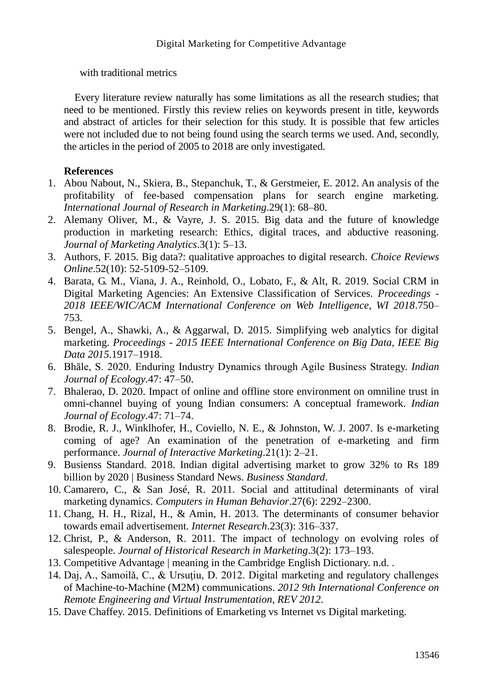with traditional metrics

Every literature review naturally has some limitations as all the research studies; that need to be mentioned. Firstly this review relies on keywords present in title, keywords and abstract of articles for their selection for this study. It is possible that few articles were not included due to not being found using the search terms we used. And, secondly, the articles in the period of 2005 to 2018 are only investigated.

# **References**

- 1. Abou Nabout, N., Skiera, B., Stepanchuk, T., & Gerstmeier, E. 2012. An analysis of the profitability of fee-based compensation plans for search engine marketing. *International Journal of Research in Marketing*.29(1): 68–80.
- 2. Alemany Oliver, M., & Vayre, J. S. 2015. Big data and the future of knowledge production in marketing research: Ethics, digital traces, and abductive reasoning. *Journal of Marketing Analytics*.3(1): 5–13.
- 3. Authors, F. 2015. Big data?: qualitative approaches to digital research. *Choice Reviews Online*.52(10): 52-5109-52–5109.
- 4. Barata, G. M., Viana, J. A., Reinhold, O., Lobato, F., & Alt, R. 2019. Social CRM in Digital Marketing Agencies: An Extensive Classification of Services. *Proceedings - 2018 IEEE/WIC/ACM International Conference on Web Intelligence, WI 2018*.750– 753.
- 5. Bengel, A., Shawki, A., & Aggarwal, D. 2015. Simplifying web analytics for digital marketing. *Proceedings - 2015 IEEE International Conference on Big Data, IEEE Big Data 2015*.1917–1918.
- 6. Bhāle, S. 2020. Enduring Industry Dynamics through Agile Business Strategy. *Indian Journal of Ecology*.47: 47–50.
- 7. Bhalerao, D. 2020. Impact of online and offline store environment on omniline trust in omni-channel buying of young Indian consumers: A conceptual framework. *Indian Journal of Ecology*.47: 71–74.
- 8. Brodie, R. J., Winklhofer, H., Coviello, N. E., & Johnston, W. J. 2007. Is e-marketing coming of age? An examination of the penetration of e-marketing and firm performance. *Journal of Interactive Marketing*.21(1): 2–21.
- 9. Busienss Standard. 2018. Indian digital advertising market to grow 32% to Rs 189 billion by 2020 | Business Standard News. *Business Standard*.
- 10. Camarero, C., & San José, R. 2011. Social and attitudinal determinants of viral marketing dynamics. *Computers in Human Behavior*.27(6): 2292–2300.
- 11. Chang, H. H., Rizal, H., & Amin, H. 2013. The determinants of consumer behavior towards email advertisement. *Internet Research*.23(3): 316–337.
- 12. Christ, P., & Anderson, R. 2011. The impact of technology on evolving roles of salespeople. *Journal of Historical Research in Marketing*.3(2): 173–193.
- 13. Competitive Advantage | meaning in the Cambridge English Dictionary. n.d. .
- 14. Daj, A., Samoilǎ, C., & Ursuţiu, D. 2012. Digital marketing and regulatory challenges of Machine-to-Machine (M2M) communications. *2012 9th International Conference on Remote Engineering and Virtual Instrumentation, REV 2012*.
- 15. Dave Chaffey. 2015. Definitions of Emarketing vs Internet vs Digital marketing.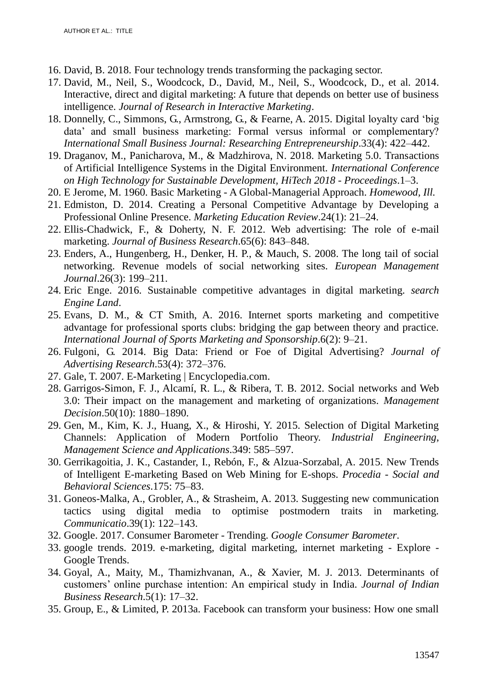- 16. David, B. 2018. Four technology trends transforming the packaging sector.
- 17. David, M., Neil, S., Woodcock, D., David, M., Neil, S., Woodcock, D., et al. 2014. Interactive, direct and digital marketing: A future that depends on better use of business intelligence. *Journal of Research in Interactive Marketing*.
- 18. Donnelly, C., Simmons, G., Armstrong, G., & Fearne, A. 2015. Digital loyalty card 'big data' and small business marketing: Formal versus informal or complementary? *International Small Business Journal: Researching Entrepreneurship*.33(4): 422–442.
- 19. Draganov, M., Panicharova, M., & Madzhirova, N. 2018. Marketing 5.0. Transactions of Artificial Intelligence Systems in the Digital Environment. *International Conference on High Technology for Sustainable Development, HiTech 2018 - Proceedings*.1–3.
- 20. E Jerome, M. 1960. Basic Marketing A Global-Managerial Approach. *Homewood, Ill.*
- 21. Edmiston, D. 2014. Creating a Personal Competitive Advantage by Developing a Professional Online Presence. *Marketing Education Review*.24(1): 21–24.
- 22. Ellis-Chadwick, F., & Doherty, N. F. 2012. Web advertising: The role of e-mail marketing. *Journal of Business Research*.65(6): 843–848.
- 23. Enders, A., Hungenberg, H., Denker, H. P., & Mauch, S. 2008. The long tail of social networking. Revenue models of social networking sites. *European Management Journal*.26(3): 199–211.
- 24. Eric Enge. 2016. Sustainable competitive advantages in digital marketing. *search Engine Land*.
- 25. Evans, D. M., & CT Smith, A. 2016. Internet sports marketing and competitive advantage for professional sports clubs: bridging the gap between theory and practice. *International Journal of Sports Marketing and Sponsorship*.6(2): 9–21.
- 26. Fulgoni, G. 2014. Big Data: Friend or Foe of Digital Advertising? *Journal of Advertising Research*.53(4): 372–376.
- 27. Gale, T. 2007. E-Marketing | Encyclopedia.com.
- 28. Garrigos-Simon, F. J., Alcamí, R. L., & Ribera, T. B. 2012. Social networks and Web 3.0: Their impact on the management and marketing of organizations. *Management Decision*.50(10): 1880–1890.
- 29. Gen, M., Kim, K. J., Huang, X., & Hiroshi, Y. 2015. Selection of Digital Marketing Channels: Application of Modern Portfolio Theory. *Industrial Engineering, Management Science and Applications*.349: 585–597.
- 30. Gerrikagoitia, J. K., Castander, I., Rebón, F., & Alzua-Sorzabal, A. 2015. New Trends of Intelligent E-marketing Based on Web Mining for E-shops. *Procedia - Social and Behavioral Sciences*.175: 75–83.
- 31. Goneos-Malka, A., Grobler, A., & Strasheim, A. 2013. Suggesting new communication tactics using digital media to optimise postmodern traits in marketing. *Communicatio*.39(1): 122–143.
- 32. Google. 2017. Consumer Barometer Trending. *Google Consumer Barometer*.
- 33. google trends. 2019. e-marketing, digital marketing, internet marketing Explore Google Trends.
- 34. Goyal, A., Maity, M., Thamizhvanan, A., & Xavier, M. J. 2013. Determinants of customers' online purchase intention: An empirical study in India. *Journal of Indian Business Research*.5(1): 17–32.
- 35. Group, E., & Limited, P. 2013a. Facebook can transform your business: How one small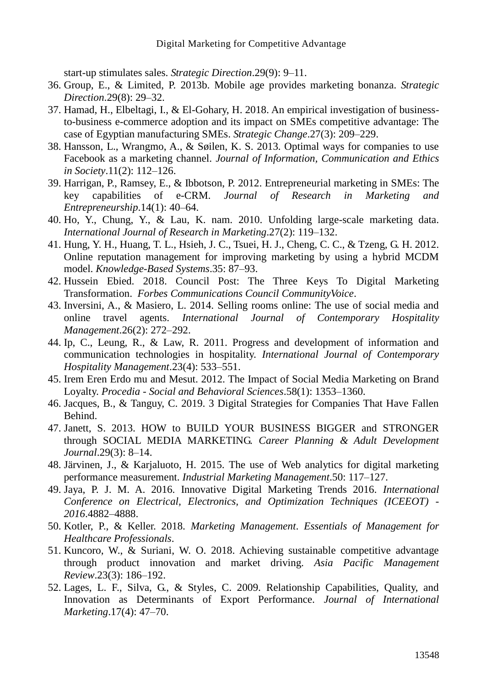start-up stimulates sales. *Strategic Direction*.29(9): 9–11.

- 36. Group, E., & Limited, P. 2013b. Mobile age provides marketing bonanza. *Strategic Direction*.29(8): 29–32.
- 37. Hamad, H., Elbeltagi, I., & El-Gohary, H. 2018. An empirical investigation of businessto-business e-commerce adoption and its impact on SMEs competitive advantage: The case of Egyptian manufacturing SMEs. *Strategic Change*.27(3): 209–229.
- 38. Hansson, L., Wrangmo, A., & Søilen, K. S. 2013. Optimal ways for companies to use Facebook as a marketing channel. *Journal of Information, Communication and Ethics in Society*.11(2): 112–126.
- 39. Harrigan, P., Ramsey, E., & Ibbotson, P. 2012. Entrepreneurial marketing in SMEs: The key capabilities of e-CRM. *Journal of Research in Marketing and Entrepreneurship*.14(1): 40–64.
- 40. Ho, Y., Chung, Y., & Lau, K. nam. 2010. Unfolding large-scale marketing data. *International Journal of Research in Marketing*.27(2): 119–132.
- 41. Hung, Y. H., Huang, T. L., Hsieh, J. C., Tsuei, H. J., Cheng, C. C., & Tzeng, G. H. 2012. Online reputation management for improving marketing by using a hybrid MCDM model. *Knowledge-Based Systems*.35: 87–93.
- 42. Hussein Ebied. 2018. Council Post: The Three Keys To Digital Marketing Transformation. *Forbes Communications Council CommunityVoice*.
- 43. Inversini, A., & Masiero, L. 2014. Selling rooms online: The use of social media and online travel agents. *International Journal of Contemporary Hospitality Management*.26(2): 272–292.
- 44. Ip, C., Leung, R., & Law, R. 2011. Progress and development of information and communication technologies in hospitality. *International Journal of Contemporary Hospitality Management*.23(4): 533–551.
- 45. Irem Eren Erdo mu and Mesut. 2012. The Impact of Social Media Marketing on Brand Loyalty. *Procedia - Social and Behavioral Sciences*.58(1): 1353–1360.
- 46. Jacques, B., & Tanguy, C. 2019. 3 Digital Strategies for Companies That Have Fallen Behind.
- 47. Janett, S. 2013. HOW to BUILD YOUR BUSINESS BIGGER and STRONGER through SOCIAL MEDIA MARKETING. *Career Planning & Adult Development Journal*.29(3): 8–14.
- 48. Järvinen, J., & Karjaluoto, H. 2015. The use of Web analytics for digital marketing performance measurement. *Industrial Marketing Management*.50: 117–127.
- 49. Jaya, P. J. M. A. 2016. Innovative Digital Marketing Trends 2016. *International Conference on Electrical, Electronics, and Optimization Techniques (ICEEOT) - 2016*.4882–4888.
- 50. Kotler, P., & Keller. 2018. *Marketing Management*. *Essentials of Management for Healthcare Professionals*.
- 51. Kuncoro, W., & Suriani, W. O. 2018. Achieving sustainable competitive advantage through product innovation and market driving. *Asia Pacific Management Review*.23(3): 186–192.
- 52. Lages, L. F., Silva, G., & Styles, C. 2009. Relationship Capabilities, Quality, and Innovation as Determinants of Export Performance. *Journal of International Marketing*.17(4): 47–70.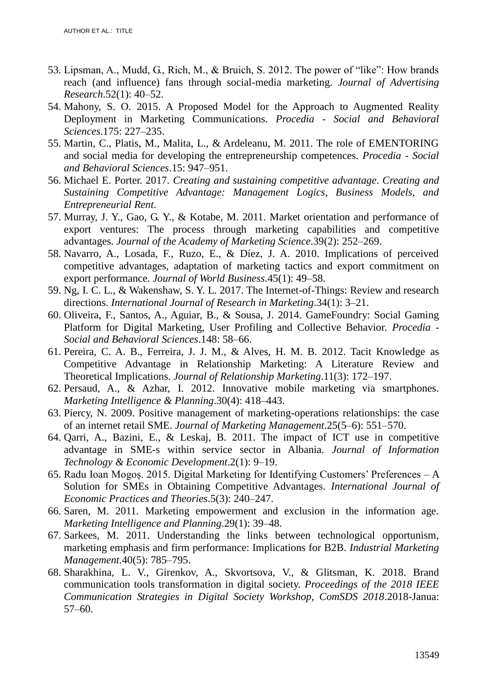- 53. Lipsman, A., Mudd, G., Rich, M., & Bruich, S. 2012. The power of "like": How brands reach (and influence) fans through social-media marketing. *Journal of Advertising Research*.52(1): 40–52.
- 54. Mahony, S. O. 2015. A Proposed Model for the Approach to Augmented Reality Deployment in Marketing Communications. *Procedia - Social and Behavioral Sciences*.175: 227–235.
- 55. Martin, C., Platis, M., Malita, L., & Ardeleanu, M. 2011. The role of EMENTORING and social media for developing the entrepreneurship competences. *Procedia - Social and Behavioral Sciences*.15: 947–951.
- 56. Michael E. Porter. 2017. *Creating and sustaining competitive advantage*. *Creating and Sustaining Competitive Advantage: Management Logics, Business Models, and Entrepreneurial Rent*.
- 57. Murray, J. Y., Gao, G. Y., & Kotabe, M. 2011. Market orientation and performance of export ventures: The process through marketing capabilities and competitive advantages. *Journal of the Academy of Marketing Science*.39(2): 252–269.
- 58. Navarro, A., Losada, F., Ruzo, E., & Díez, J. A. 2010. Implications of perceived competitive advantages, adaptation of marketing tactics and export commitment on export performance. *Journal of World Business*.45(1): 49–58.
- 59. Ng, I. C. L., & Wakenshaw, S. Y. L. 2017. The Internet-of-Things: Review and research directions. *International Journal of Research in Marketing*.34(1): 3–21.
- 60. Oliveira, F., Santos, A., Aguiar, B., & Sousa, J. 2014. GameFoundry: Social Gaming Platform for Digital Marketing, User Profiling and Collective Behavior. *Procedia - Social and Behavioral Sciences*.148: 58–66.
- 61. Pereira, C. A. B., Ferreira, J. J. M., & Alves, H. M. B. 2012. Tacit Knowledge as Competitive Advantage in Relationship Marketing: A Literature Review and Theoretical Implications. *Journal of Relationship Marketing*.11(3): 172–197.
- 62. Persaud, A., & Azhar, I. 2012. Innovative mobile marketing via smartphones. *Marketing Intelligence & Planning*.30(4): 418–443.
- 63. Piercy, N. 2009. Positive management of marketing-operations relationships: the case of an internet retail SME. *Journal of Marketing Management*.25(5–6): 551–570.
- 64. Qarri, A., Bazini, E., & Leskaj, B. 2011. The impact of ICT use in competitive advantage in SME-s within service sector in Albania. *Journal of Information Technology & Economic Development*.2(1): 9–19.
- 65. Radu Ioan Mogoș. 2015. Digital Marketing for Identifying Customers' Preferences A Solution for SMEs in Obtaining Competitive Advantages. *International Journal of Economic Practices and Theories*.5(3): 240–247.
- 66. Saren, M. 2011. Marketing empowerment and exclusion in the information age. *Marketing Intelligence and Planning*.29(1): 39–48.
- 67. Sarkees, M. 2011. Understanding the links between technological opportunism, marketing emphasis and firm performance: Implications for B2B. *Industrial Marketing Management*.40(5): 785–795.
- 68. Sharakhina, L. V., Girenkov, A., Skvortsova, V., & Glitsman, K. 2018. Brand communication tools transformation in digital society. *Proceedings of the 2018 IEEE Communication Strategies in Digital Society Workshop, ComSDS 2018*.2018-Janua: 57–60.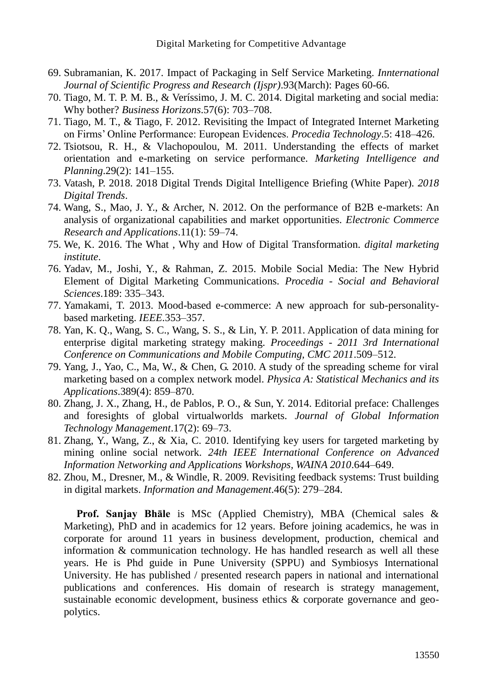- 69. Subramanian, K. 2017. Impact of Packaging in Self Service Marketing. *Innternational Journal of Scientific Progress and Research (Ijspr)*.93(March): Pages 60-66.
- 70. Tiago, M. T. P. M. B., & Veríssimo, J. M. C. 2014. Digital marketing and social media: Why bother? *Business Horizons*.57(6): 703–708.
- 71. Tiago, M. T., & Tiago, F. 2012. Revisiting the Impact of Integrated Internet Marketing on Firms' Online Performance: European Evidences. *Procedia Technology*.5: 418–426.
- 72. Tsiotsou, R. H., & Vlachopoulou, M. 2011. Understanding the effects of market orientation and e-marketing on service performance. *Marketing Intelligence and Planning*.29(2): 141–155.
- 73. Vatash, P. 2018. 2018 Digital Trends Digital Intelligence Briefing (White Paper). *2018 Digital Trends*.
- 74. Wang, S., Mao, J. Y., & Archer, N. 2012. On the performance of B2B e-markets: An analysis of organizational capabilities and market opportunities. *Electronic Commerce Research and Applications*.11(1): 59–74.
- 75. We, K. 2016. The What , Why and How of Digital Transformation. *digital marketing institute*.
- 76. Yadav, M., Joshi, Y., & Rahman, Z. 2015. Mobile Social Media: The New Hybrid Element of Digital Marketing Communications. *Procedia - Social and Behavioral Sciences*.189: 335–343.
- 77. Yamakami, T. 2013. Mood-based e-commerce: A new approach for sub-personalitybased marketing. *IEEE*.353–357.
- 78. Yan, K. Q., Wang, S. C., Wang, S. S., & Lin, Y. P. 2011. Application of data mining for enterprise digital marketing strategy making. *Proceedings - 2011 3rd International Conference on Communications and Mobile Computing, CMC 2011*.509–512.
- 79. Yang, J., Yao, C., Ma, W., & Chen, G. 2010. A study of the spreading scheme for viral marketing based on a complex network model. *Physica A: Statistical Mechanics and its Applications*.389(4): 859–870.
- 80. Zhang, J. X., Zhang, H., de Pablos, P. O., & Sun, Y. 2014. Editorial preface: Challenges and foresights of global virtualworlds markets. *Journal of Global Information Technology Management*.17(2): 69–73.
- 81. Zhang, Y., Wang, Z., & Xia, C. 2010. Identifying key users for targeted marketing by mining online social network. *24th IEEE International Conference on Advanced Information Networking and Applications Workshops, WAINA 2010*.644–649.
- 82. Zhou, M., Dresner, M., & Windle, R. 2009. Revisiting feedback systems: Trust building in digital markets. *Information and Management*.46(5): 279–284.

**Prof. Sanjay Bhāle** is MSc (Applied Chemistry), MBA (Chemical sales & Marketing), PhD and in academics for 12 years. Before joining academics, he was in corporate for around 11 years in business development, production, chemical and information & communication technology. He has handled research as well all these years. He is Phd guide in Pune University (SPPU) and Symbiosys International University. He has published / presented research papers in national and international publications and conferences. His domain of research is strategy management, sustainable economic development, business ethics & corporate governance and geopolytics.